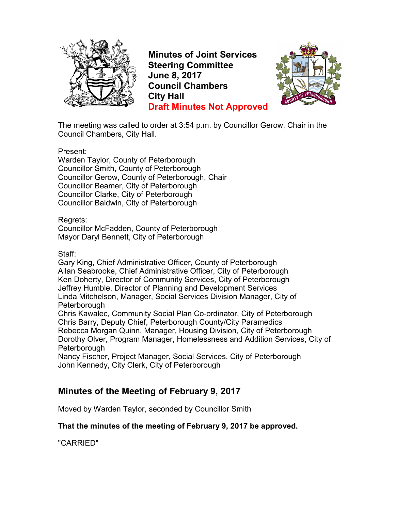

**Minutes of Joint Services Steering Committee June 8, 2017 Council Chambers City Hall Draft Minutes Not Approved**



The meeting was called to order at 3:54 p.m. by Councillor Gerow, Chair in the Council Chambers, City Hall.

Present:

Warden Taylor, County of Peterborough Councillor Smith, County of Peterborough Councillor Gerow, County of Peterborough, Chair Councillor Beamer, City of Peterborough Councillor Clarke, City of Peterborough Councillor Baldwin, City of Peterborough

#### Regrets:

Councillor McFadden, County of Peterborough Mayor Daryl Bennett, City of Peterborough

#### Staff:

Gary King, Chief Administrative Officer, County of Peterborough Allan Seabrooke, Chief Administrative Officer, City of Peterborough Ken Doherty, Director of Community Services, City of Peterborough Jeffrey Humble, Director of Planning and Development Services Linda Mitchelson, Manager, Social Services Division Manager, City of **Peterborough** 

Chris Kawalec, Community Social Plan Co-ordinator, City of Peterborough Chris Barry, Deputy Chief, Peterborough County/City Paramedics Rebecca Morgan Quinn, Manager, Housing Division, City of Peterborough Dorothy Olver, Program Manager, Homelessness and Addition Services, City of **Peterborough** 

Nancy Fischer, Project Manager, Social Services, City of Peterborough John Kennedy, City Clerk, City of Peterborough

# **Minutes of the Meeting of February 9, 2017**

Moved by Warden Taylor, seconded by Councillor Smith

#### **That the minutes of the meeting of February 9, 2017 be approved.**

"CARRIED"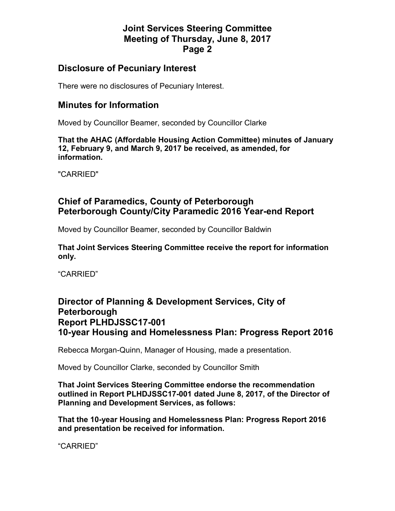## **Disclosure of Pecuniary Interest**

There were no disclosures of Pecuniary Interest.

## **Minutes for Information**

Moved by Councillor Beamer, seconded by Councillor Clarke

**That the AHAC (Affordable Housing Action Committee) minutes of January 12, February 9, and March 9, 2017 be received, as amended, for information.** 

"CARRIED"

## **Chief of Paramedics, County of Peterborough Peterborough County/City Paramedic 2016 Year-end Report**

Moved by Councillor Beamer, seconded by Councillor Baldwin

**That Joint Services Steering Committee receive the report for information only.** 

"CARRIED"

## **Director of Planning & Development Services, City of Peterborough Report PLHDJSSC17-001 10-year Housing and Homelessness Plan: Progress Report 2016**

Rebecca Morgan-Quinn, Manager of Housing, made a presentation.

Moved by Councillor Clarke, seconded by Councillor Smith

**That Joint Services Steering Committee endorse the recommendation outlined in Report PLHDJSSC17-001 dated June 8, 2017, of the Director of Planning and Development Services, as follows:** 

**That the 10-year Housing and Homelessness Plan: Progress Report 2016 and presentation be received for information.** 

"CARRIED"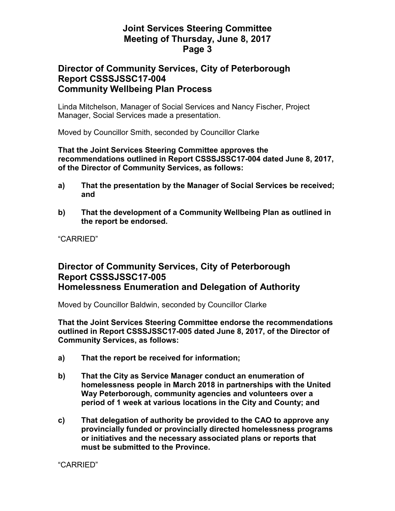## **Director of Community Services, City of Peterborough Report CSSSJSSC17-004 Community Wellbeing Plan Process**

Linda Mitchelson, Manager of Social Services and Nancy Fischer, Project Manager, Social Services made a presentation.

Moved by Councillor Smith, seconded by Councillor Clarke

#### **That the Joint Services Steering Committee approves the recommendations outlined in Report CSSSJSSC17-004 dated June 8, 2017, of the Director of Community Services, as follows:**

- **a) That the presentation by the Manager of Social Services be received; and**
- **b) That the development of a Community Wellbeing Plan as outlined in the report be endorsed.**

"CARRIED"

## **Director of Community Services, City of Peterborough Report CSSSJSSC17-005 Homelessness Enumeration and Delegation of Authority**

Moved by Councillor Baldwin, seconded by Councillor Clarke

**That the Joint Services Steering Committee endorse the recommendations outlined in Report CSSSJSSC17-005 dated June 8, 2017, of the Director of Community Services, as follows:** 

- **a) That the report be received for information;**
- **b) That the City as Service Manager conduct an enumeration of homelessness people in March 2018 in partnerships with the United Way Peterborough, community agencies and volunteers over a period of 1 week at various locations in the City and County; and**
- **c) That delegation of authority be provided to the CAO to approve any provincially funded or provincially directed homelessness programs or initiatives and the necessary associated plans or reports that must be submitted to the Province.**

"CARRIED"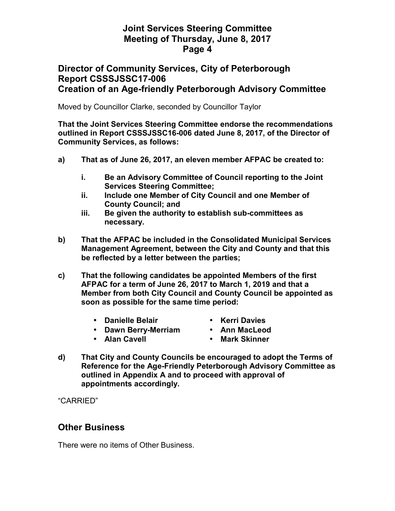### **Director of Community Services, City of Peterborough Report CSSSJSSC17-006 Creation of an Age-friendly Peterborough Advisory Committee**

Moved by Councillor Clarke, seconded by Councillor Taylor

**That the Joint Services Steering Committee endorse the recommendations outlined in Report CSSSJSSC16-006 dated June 8, 2017, of the Director of Community Services, as follows:** 

- **a) That as of June 26, 2017, an eleven member AFPAC be created to:** 
	- **i. Be an Advisory Committee of Council reporting to the Joint Services Steering Committee;**
	- **ii. Include one Member of City Council and one Member of County Council; and**
	- **iii. Be given the authority to establish sub-committees as necessary.**
- **b) That the AFPAC be included in the Consolidated Municipal Services Management Agreement, between the City and County and that this be reflected by a letter between the parties;**
- **c) That the following candidates be appointed Members of the first AFPAC for a term of June 26, 2017 to March 1, 2019 and that a Member from both City Council and County Council be appointed as soon as possible for the same time period:** 
	- **Danielle Belair**
- **Kerri Davies**
- **Dawn Berry-Merriam Ann MacLeod** 
	-

• **Alan Cavell** 

- **Mark Skinner**
- **d) That City and County Councils be encouraged to adopt the Terms of Reference for the Age-Friendly Peterborough Advisory Committee as outlined in Appendix A and to proceed with approval of appointments accordingly.**

"CARRIED"

### **Other Business**

There were no items of Other Business.